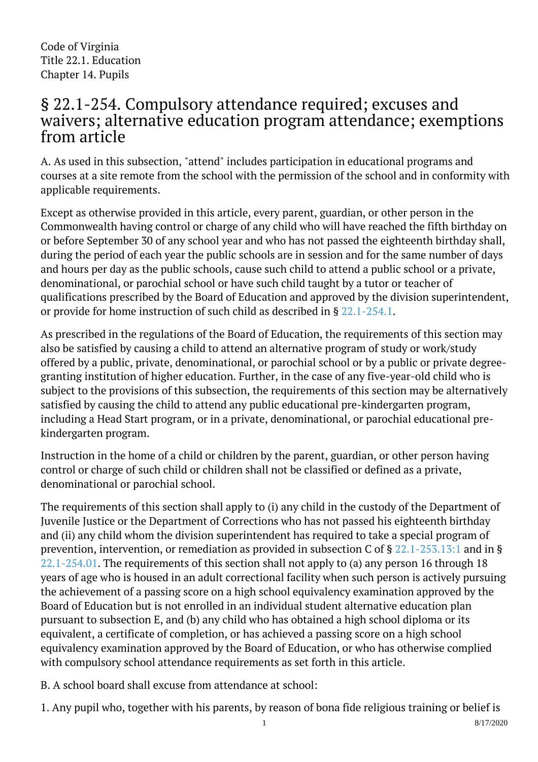Code of Virginia Title 22.1. Education Chapter 14. Pupils

## § 22.1-254. Compulsory attendance required; excuses and waivers; alternative education program attendance; exemptions from article

A. As used in this subsection, "attend" includes participation in educational programs and courses at a site remote from the school with the permission of the school and in conformity with applicable requirements.

Except as otherwise provided in this article, every parent, guardian, or other person in the Commonwealth having control or charge of any child who will have reached the fifth birthday on or before September 30 of any school year and who has not passed the eighteenth birthday shall, during the period of each year the public schools are in session and for the same number of days and hours per day as the public schools, cause such child to attend a public school or a private, denominational, or parochial school or have such child taught by a tutor or teacher of qualifications prescribed by the Board of Education and approved by the division superintendent, or provide for home instruction of such child as described in § [22.1-254.1](/vacode/22.1-254.1/).

As prescribed in the regulations of the Board of Education, the requirements of this section may also be satisfied by causing a child to attend an alternative program of study or work/study offered by a public, private, denominational, or parochial school or by a public or private degreegranting institution of higher education. Further, in the case of any five-year-old child who is subject to the provisions of this subsection, the requirements of this section may be alternatively satisfied by causing the child to attend any public educational pre-kindergarten program, including a Head Start program, or in a private, denominational, or parochial educational prekindergarten program.

Instruction in the home of a child or children by the parent, guardian, or other person having control or charge of such child or children shall not be classified or defined as a private, denominational or parochial school.

The requirements of this section shall apply to (i) any child in the custody of the Department of Juvenile Justice or the Department of Corrections who has not passed his eighteenth birthday and (ii) any child whom the division superintendent has required to take a special program of prevention, intervention, or remediation as provided in subsection C of § [22.1-253.13:1](/vacode/22.1-253.13:1/) and in § [22.1-254.01.](/vacode/22.1-254.01/) The requirements of this section shall not apply to (a) any person 16 through 18 years of age who is housed in an adult correctional facility when such person is actively pursuing the achievement of a passing score on a high school equivalency examination approved by the Board of Education but is not enrolled in an individual student alternative education plan pursuant to subsection E, and (b) any child who has obtained a high school diploma or its equivalent, a certificate of completion, or has achieved a passing score on a high school equivalency examination approved by the Board of Education, or who has otherwise complied with compulsory school attendance requirements as set forth in this article.

B. A school board shall excuse from attendance at school:

1. Any pupil who, together with his parents, by reason of bona fide religious training or belief is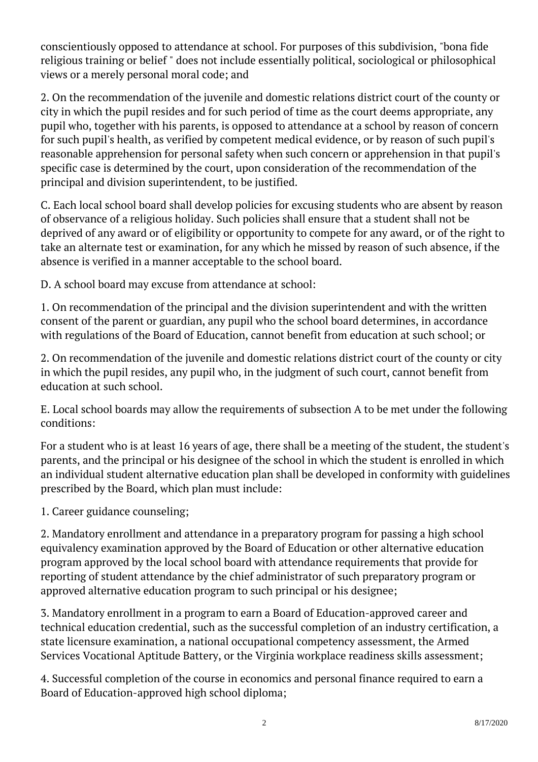conscientiously opposed to attendance at school. For purposes of this subdivision, "bona fide religious training or belief " does not include essentially political, sociological or philosophical views or a merely personal moral code; and

2. On the recommendation of the juvenile and domestic relations district court of the county or city in which the pupil resides and for such period of time as the court deems appropriate, any pupil who, together with his parents, is opposed to attendance at a school by reason of concern for such pupil's health, as verified by competent medical evidence, or by reason of such pupil's reasonable apprehension for personal safety when such concern or apprehension in that pupil's specific case is determined by the court, upon consideration of the recommendation of the principal and division superintendent, to be justified. <sup>"</sup>

C. Each local school board shall develop policies for excusing students who are absent by reason of observance of a religious holiday. Such policies shall ensure that a student shall not be deprived of any award or of eligibility or opportunity to compete for any award, or of the right to take an alternate test or examination, for any which he missed by reason of such absence, if the absence is verified in a manner acceptable to the school board. Ĩ

D. A school board may excuse from attendance at school:

1. On recommendation of the principal and the division superintendent and with the written consent of the parent or guardian, any pupil who the school board determines, in accordance with regulations of the Board of Education, cannot benefit from education at such school; or

2. On recommendation of the juvenile and domestic relations district court of the county or city in which the pupil resides, any pupil who, in the judgment of such court, cannot benefit from education at such school.

E. Local school boards may allow the requirements of subsection A to be met under the following conditions:

For a student who is at least 16 years of age, there shall be a meeting of the student, the student's parents, and the principal or his designee of the school in which the student is enrolled in which an individual student alternative education plan shall be developed in conformity with guidelines prescribed by the Board, which plan must include: <sup>"</sup>

1. Career guidance counseling;

2. Mandatory enrollment and attendance in a preparatory program for passing a high school equivalency examination approved by the Board of Education or other alternative education program approved by the local school board with attendance requirements that provide for reporting of student attendance by the chief administrator of such preparatory program or approved alternative education program to such principal or his designee; Ĩ

3. Mandatory enrollment in a program to earn a Board of Education-approved career and technical education credential, such as the successful completion of an industry certification, a state licensure examination, a national occupational competency assessment, the Armed Services Vocational Aptitude Battery, or the Virginia workplace readiness skills assessment; I

4. Successful completion of the course in economics and personal finance required to earn a Board of Education-approved high school diploma;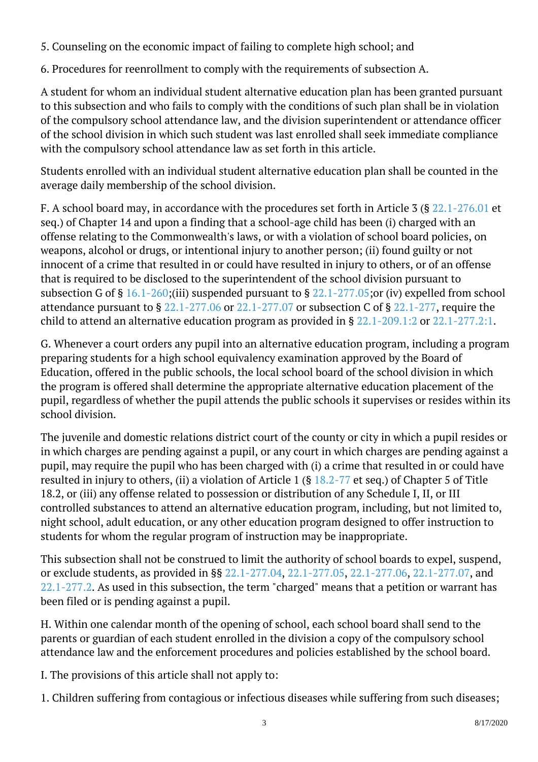5. Counseling on the economic impact of failing to complete high school; and I

6. Procedures for reenrollment to comply with the requirements of subsection A.

A student for whom an individual student alternative education plan has been granted pursuant to this subsection and who fails to comply with the conditions of such plan shall be in violation of the compulsory school attendance law, and the division superintendent or attendance officer of the school division in which such student was last enrolled shall seek immediate compliance with the compulsory school attendance law as set forth in this article.

Students enrolled with an individual student alternative education plan shall be counted in the average daily membership of the school division. Ĩ

F. A school board may, in accordance with the procedures set forth in Article 3 (§ [22.1-276.01](/vacode/22.1-276.01/) et seq.) of Chapter 14 and upon a finding that a school-age child has been (i) charged with an offense relating to the Commonwealth's laws, or with a violation of school board policies, on weapons, alcohol or drugs, or intentional injury to another person; (ii) found guilty or not innocent of a crime that resulted in or could have resulted in injury to others, or of an offense that is required to be disclosed to the superintendent of the school division pursuant to subsection G of § [16.1-260;](/vacode/16.1-260/)(iii) suspended pursuant to § [22.1-277.05;o](/vacode/22.1-277.05/)r (iv) expelled from school attendance pursuant to § [22.1-277.06](/vacode/22.1-277.06/) or [22.1-277.07](/vacode/22.1-277.07/) or subsection C of § [22.1-277](/vacode/22.1-277/), require the child to attend an alternative education program as provided in §  $22.1$ -209.1:2 or  $22.1$ -277.2:1.

G. Whenever a court orders any pupil into an alternative education program, including a program preparing students for a high school equivalency examination approved by the Board of Education, offered in the public schools, the local school board of the school division in which the program is offered shall determine the appropriate alternative education placement of the pupil, regardless of whether the pupil attends the public schools it supervises or resides within its school division. Ĩ

The juvenile and domestic relations district court of the county or city in which a pupil resides or in which charges are pending against a pupil, or any court in which charges are pending against a pupil, may require the pupil who has been charged with (i) a crime that resulted in or could have resulted in injury to others, (ii) a violation of Article 1 (§ [18.2-77](/vacode/18.2-77/) et seq.) of Chapter 5 of Title 18.2, or (iii) any offense related to possession or distribution of any Schedule I, II, or III controlled substances to attend an alternative education program, including, but not limited to, night school, adult education, or any other education program designed to offer instruction to students for whom the regular program of instruction may be inappropriate. Ĩ

This subsection shall not be construed to limit the authority of school boards to expel, suspend, or exclude students, as provided in §§ [22.1-277.04,](/vacode/22.1-277.04/) [22.1-277.05](/vacode/22.1-277.05/), [22.1-277.06](/vacode/22.1-277.06/), [22.1-277.07,](/vacode/22.1-277.07/) and [22.1-277.2.](/vacode/22.1-277.2/) As used in this subsection, the term "charged" means that a petition or warrant has been filed or is pending against a pupil.

H. Within one calendar month of the opening of school, each school board shall send to the parents or guardian of each student enrolled in the division a copy of the compulsory school attendance law and the enforcement procedures and policies established by the school board. Ĩ

I. The provisions of this article shall not apply to:

1. Children suffering from contagious or infectious diseases while suffering from such diseases;